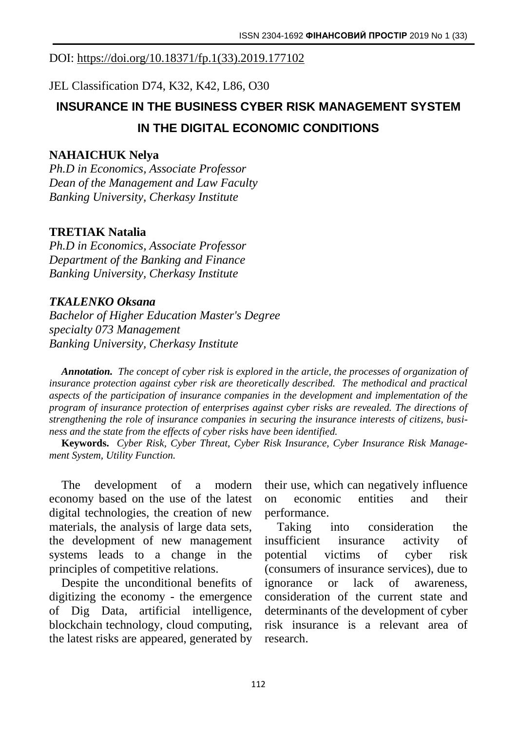### DOI: [https://doi.org/10.18371/fp.1\(33\).2019.177102](https://doi.org/10.18371/fp.1(33).2019.177102)

JEL Classіfіcatіon D74, K32, K42, L86, O30

# **INSURANCE IN THE BUSINESS CYBER RISK MANAGEMENT SYSTEM IN THE DIGITAL ECONOMIC CONDITIONS**

#### **NAHAICHUK Nelya**

*Ph.D in Economics, Associate Professor Dean of the Management and Law Faculty Banking University, Cherkasy Institute*

#### **TRETIAK Natalia**

*Ph.D in Economics, Associate Professor Department of the Banking and Finance Banking University, Cherkasy Institute*

#### *TKALENKO Oksana*

*Bachelor of Higher Education Master's Degree specialty 073 Management Banking University, Cherkasy Institute*

*Annotation. The concept of cyber risk is explored in the article, the processes of organization of insurance protection against cyber risk are theoretically described. The methodical and practical aspects of the participation of insurance companies in the development and implementation of the program of insurance protection of enterprises against cyber risks are revealed. The directions of strengthening the role of insurance companies in securing the insurance interests of citizens, business and the state from the effects of cyber risks have been identified.*

**Keywords.** *Cyber Risk, Cyber Threat, Cyber Risk Insurance, Cyber Insurance Risk Management System, Utility Function.*

The development of a modern economy based on the use of the latest digital technologies, the creation of new materials, the analysis of large data sets, the development of new management systems leads to a change in the principles of competitive relations.

Despite the unconditional benefits of digitizing the economy - the emergence of Dig Data, artificial intelligence, blockchain technology, cloud computing, the latest risks are appeared, generated by their use, which can negatively influence on economic entities and their performance.

Taking into consideration the insufficient insurance activity of potential victims of cyber risk (consumers of insurance services), due to ignorance or lack of awareness, consideration of the current state and determinants of the development of cyber risk insurance is a relevant area of research.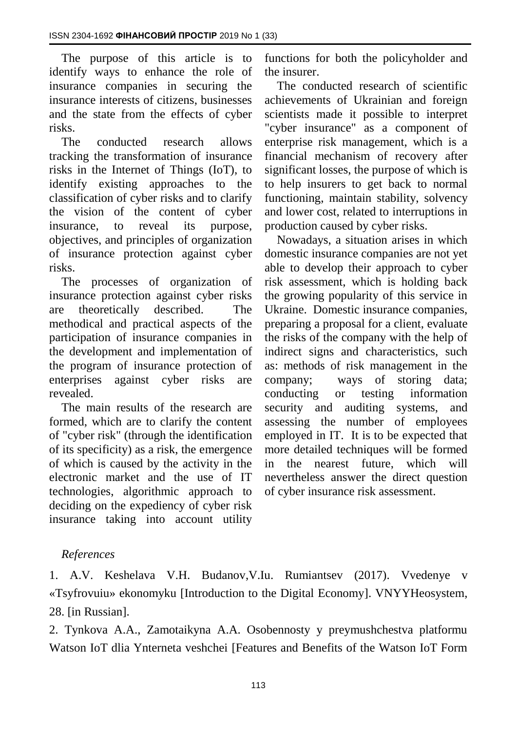The purpose of this article is to identify ways to enhance the role of insurance companies in securing the insurance interests of citizens, businesses and the state from the effects of cyber risks.

The conducted research allows tracking the transformation of insurance risks in the Internet of Things (IoT), to identify existing approaches to the classification of cyber risks and to clarify the vision of the content of cyber insurance, to reveal its purpose, objectives, and principles of organization of insurance protection against cyber risks.

The processes of organization of insurance protection against cyber risks are theoretically described. The methodical and practical aspects of the participation of insurance companies in the development and implementation of the program of insurance protection of enterprises against cyber risks are revealed.

The main results of the research are formed, which are to clarify the content of "cyber risk" (through the identification of its specificity) as a risk, the emergence of which is caused by the activity in the electronic market and the use of IT technologies, algorithmic approach to deciding on the expediency of cyber risk insurance taking into account utility

functions for both the policyholder and the insurer.

The conducted research of scientific achievements of Ukrainian and foreign scientists made it possible to interpret "cyber insurance" as a component of enterprise risk management, which is a financial mechanism of recovery after significant losses, the purpose of which is to help insurers to get back to normal functioning, maintain stability, solvency and lower cost, related to interruptions in production caused by cyber risks.

Nowadays, a situation arises in which domestic insurance companies are not yet able to develop their approach to cyber risk assessment, which is holding back the growing popularity of this service in Ukraine. Domestic insurance companies, preparing a proposal for a client, evaluate the risks of the company with the help of indirect signs and characteristics, such as: methods of risk management in the company; ways of storing data; conducting or testing information security and auditing systems, and assessing the number of employees employed in IT. It is to be expected that more detailed techniques will be formed in the nearest future, which will nevertheless answer the direct question of cyber insurance risk assessment.

## *References*

1. A.V. Keshelava V.H. Budanov,V.Iu. Rumiantsev (2017). Vvedenye v «Tsyfrovuiu» ekonomyku [Introduction to the Digital Economy]. VNYYHeosystem, 28. [in Russian].

2. Tynkova A.A., Zamotaikyna A.A. Osobennosty y preymushchestva platformu Watson IoT dlia Ynterneta veshchei [Features and Benefits of the Watson IoT Form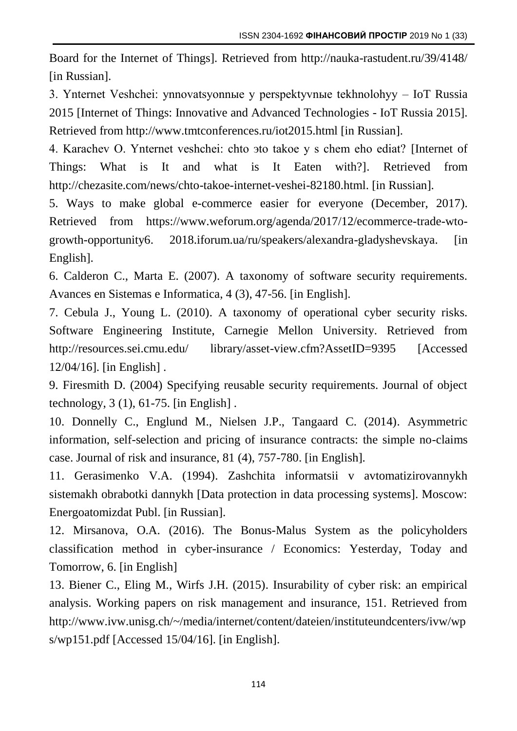Board for the Internet of Things]*.* Retrieved from http://nauka-rastudent.ru/39/4148/ [in Russian].

3. Ynternet Veshchei: ynnovatsyonnыe y perspektyvnыe tekhnolohyy – IoT Russia 2015 [Internet of Things: Innovative and Advanced Technologies - IoT Russia 2015]. Retrieved from http://www.tmtconferences.ru/iot2015.html [in Russian].

4. Karachev O. Ynternet veshchei: chto эto takoe y s chem eho ediat? [Internet of Things: What is It and what is It Eaten with?]. Retrieved from http://chezasite.com/news/chto-takoe-internet-veshei-82180.html. [in Russian].

5. Ways to make global e-commerce easier for everyone (December, 2017). Retrieved from https://www.weforum.org/agenda/2017/12/ecommerce-trade-wtogrowth-opportunity6. 2018.iforum.ua/ru/speakers/alexandra-gladyshevskaya. [in English].

6. Calderon C., Marta E. (2007). A taxonomy of software security requirements. Avances en Sistemas e Informatica, 4 (3), 47-56. [in English].

7. Cebula J., Young L. (2010). A taxonomy of operational cyber security risks. Software Engineering Institute, Carnegie Mellon University. Retrieved from http://resources.sei.cmu.edu/ library/asset-view.cfm?AssetID=9395 [Accessed] 12/04/16]. [in English] .

9. Firesmith D. (2004) Specifying reusable security requirements. Journal of object technology,  $3(1)$ ,  $61-75$ . [in English].

10. Donnelly C., Englund M., Nielsen J.P., Tangaard C. (2014). Asymmetric information, self-selection and pricing of insurance contracts: the simple no-claims case. Journal of risk and insurance, 81 (4), 757-780. [in English].

11. Gerasimenko V.A. (1994). Zashchita informatsii v avtomatizirovannykh sistemakh obrabotki dannykh [Data protection in data processing systems]. Moscow: Energoatomizdat Publ. [in Russian].

12. Mirsanova, O.A. (2016). The Bonus-Malus System as the policyholders classification method in cyber-insurance / Economics: Yesterday, Today and Tomorrow, 6. [in English]

13. Biener C., Eling M., Wirfs J.H. (2015). Insurability of cyber risk: an empirical analysis. Working papers on risk management and insurance, 151. Retrieved from http://www.ivw.unisg.ch/~/media/internet/content/dateien/instituteundcenters/ivw/wp s/wp151.pdf [Accessed 15/04/16]. [in English].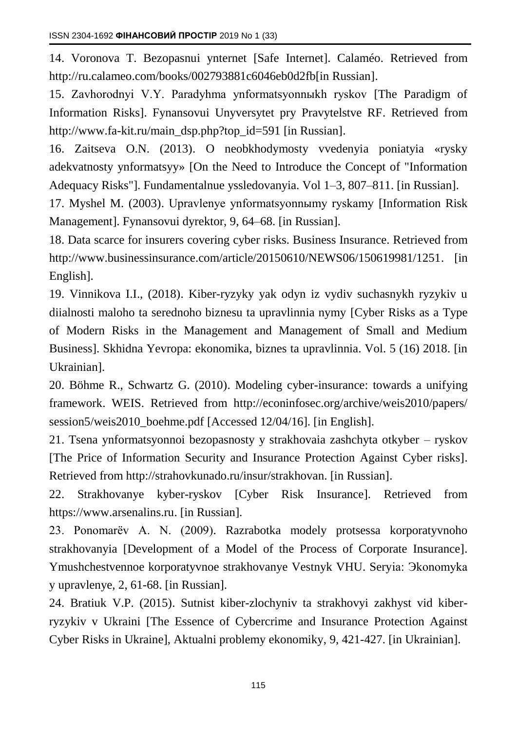14. Voronova T. Bezopasnui ynternet [Safe Internet]. Calaméo. Retrieved from http://ru.calameo.com/books/002793881c6046eb0d2fb[in Russian].

15. Zavhorodnyi V.Y. Paradyhma ynformatsyonnыkh ryskov [The Paradigm of Information Risks]. Fynansovui Unyversytet pry Pravytelstve RF. Retrieved from http://www.fa-kit.ru/main\_dsp.php?top\_id=591 [in Russian].

16. Zaitseva O.N. (2013). O neobkhodymosty vvedenyia poniatyia «rysky adekvatnosty ynformatsyy» [On the Need to Introduce the Concept of "Information Adequacy Risks"]. Fundamentalnue yssledovanyia. Vol 1–3, 807–811. [in Russian].

17. Myshel M. (2003). Upravlenye ynformatsyonnыmy ryskamy [Information Risk Management]. Fynansovui dyrektor, 9, 64–68. [in Russian].

18. Data scarce for insurers covering cyber risks. Business Insurance. Retrieved from http://www.businessinsurance.com/article/20150610/NEWS06/150619981/1251. [in English].

19. Vinnikova I.I., (2018). Kiber-ryzyky yak odyn iz vydiv suchasnykh ryzykiv u diialnosti maloho ta serednoho biznesu ta upravlinnia nymy [Cyber Risks as a Type of Modern Risks in the Management and Management of Small and Medium Business]. Skhidna Yevropa: ekonomika, biznes ta upravlinnia. Vol. 5 (16) 2018. [in Ukrainian].

20. Böhme R., Schwartz G. (2010). Modeling cyber-insurance: towards a unifying framework. WEIS. Retrieved from http://econinfosec.org/archive/weis2010/papers/ session5/weis2010\_boehme.pdf [Accessed 12/04/16]. [in English].

21. Tsena ynformatsyonnoi bezopasnosty y strakhovaia zashchyta otkyber – ryskov [The Price of Information Security and Insurance Protection Against Cyber risks]. Retrieved from http://strahovkunado.ru/insur/strakhovan. [in Russian].

22. Strakhovanye kyber-ryskov [Cyber Risk Insurance]. Retrieved from https://www.arsenalins.ru. [in Russian].

23. Ponomarёv A. N. (2009). Razrabotka modely protsessa korporatyvnoho strakhovanyia [Development of a Model of the Process of Corporate Insurance]. Ymushchestvennoe korporatyvnoe strakhovanye Vestnyk VHU. Seryia: Эkonomyka y upravlenye, 2, 61-68. [in Russian].

24. Bratiuk V.P. (2015). Sutnist kiber-zlochyniv ta strakhovyi zakhyst vid kiberryzykiv v Ukraini [The Essence of Cybercrime and Insurance Protection Against Cyber Risks in Ukraine], Aktualni problemy ekonomiky, 9, 421-427. [in Ukrainian].